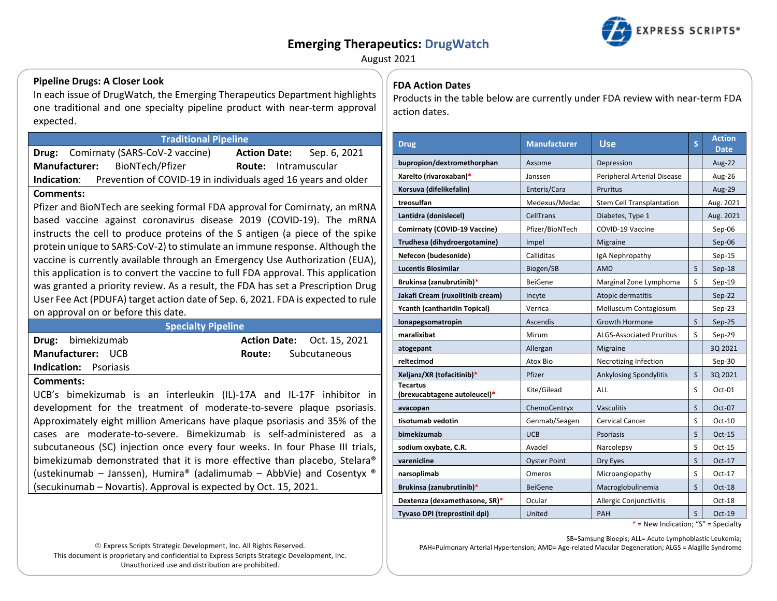# **Emerging Therapeutics: DrugWatch**



August 2021

### **Pipeline Drugs: A Closer Look**

In each issue of DrugWatch, the Emerging Therapeutics Department highlights one traditional and one specialty pipeline product with near-term approval expected.

### **Traditional Pipeline**

|                                                                              | <b>Drug:</b> Comirnaty (SARS-CoV-2 vaccine) |                             | Sep. 6, 2021 |  |  |
|------------------------------------------------------------------------------|---------------------------------------------|-----------------------------|--------------|--|--|
|                                                                              | Manufacturer: BioNTech/Pfizer               | <b>Route:</b> Intramuscular |              |  |  |
| Prevention of COVID-19 in individuals aged 16 years and older<br>Indication: |                                             |                             |              |  |  |

#### Comments:

Pfizer and BioNTech are seeking formal FDA approval for Comirnaty, an mRNA based vaccine against coronavirus disease 2019 (COVID-19). The mRNA instructs the cell to produce proteins of the S antigen (a piece of the spike protein unique to SARS-CoV-2) to stimulate an immune response. Although the vaccine is currently available through an Emergency Use Authorization (EUA), this application is to convert the vaccine to full FDA approval. This application was granted a priority review. As a result, the FDA has set a Prescription Drug User Fee Act (PDUFA) target action date of Sep. 6, 2021. FDA is expected to rule on approval on or before this date.

#### **Specialty Pipeline**

|                              | Drug: bimekizumab |  |  |  |
|------------------------------|-------------------|--|--|--|
| <b>Manufacturer: UCB</b>     |                   |  |  |  |
| <b>Indication:</b> Psoriasis |                   |  |  |  |

**Action Date: Oct. 15. 2021** Route: Subcutaneous

indication: PSONasis

Comments:

UCB's bimekizumab is an interleukin (IL)-17A and IL-17F inhibitor in development for the treatment of moderate-to-severe plaque psoriasis. Approximately eight million Americans have plaque psoriasis and 35% of the cases are moderate-to-severe. Bimekizumab is self-administered as a subcutaneous (SC) injection once every four weeks. In four Phase III trials, bimekizumab demonstrated that it is more effective than placebo, Stelara® (ustekinumab - Janssen), Humira® (adalimumab - AbbVie) and Cosentyx ® (secukinumab – Novartis). Approval is expected by Oct. 15, 2021.

© Express Scripts Strategic Development, Inc. All Rights Reserved. This document is proprietary and confidential to Express Scripts Strategic Development, Inc. Unauthorized use and distribution are prohibited.

# **FDA Action Dates**

Products in the table below are currently under FDA review with near-term FDA action dates.

| <b>Drug</b>                                     | <b>Manufacturer</b> | <b>Use</b>                       | S | <b>Action</b><br><b>Date</b> |
|-------------------------------------------------|---------------------|----------------------------------|---|------------------------------|
| bupropion/dextromethorphan                      | Axsome              | Depression                       |   | Aug-22                       |
| Xarelto (rivaroxaban)*                          | Janssen             | Peripheral Arterial Disease      |   | Aug-26                       |
| Korsuva (difelikefalin)                         | Enteris/Cara        | Pruritus                         |   | <b>Aug-29</b>                |
| treosulfan                                      | Medexus/Medac       | <b>Stem Cell Transplantation</b> |   | Aug. 2021                    |
| Lantidra (donislecel)                           | CellTrans           | Diabetes, Type 1                 |   | Aug. 2021                    |
| Comirnaty (COVID-19 Vaccine)                    | Pfizer/BioNTech     | COVID-19 Vaccine                 |   | Sep-06                       |
| Trudhesa (dihydroergotamine)                    | Impel               | Migraine                         |   | Sep-06                       |
| Nefecon (budesonide)                            | Calliditas          | IgA Nephropathy                  |   | $Sep-15$                     |
| <b>Lucentis Biosimilar</b>                      | Biogen/SB           | <b>AMD</b>                       | S | $Sep-18$                     |
| Brukinsa (zanubrutinib)*                        | <b>BeiGene</b>      | Marginal Zone Lymphoma           | S | $Sep-19$                     |
| Jakafi Cream (ruxolitinib cream)                | Incyte              | Atopic dermatitis                |   | $Sep-22$                     |
| <b>Ycanth (cantharidin Topical)</b>             | Verrica             | Molluscum Contagiosum            |   | $Sep-23$                     |
| lonapegsomatropin                               | Ascendis            | <b>Growth Hormone</b>            | S | Sep-25                       |
| maralixibat                                     | Mirum               | <b>ALGS-Associated Pruritus</b>  | S | $Sep-29$                     |
| atogepant                                       | Allergan            | Migraine                         |   | 3Q 2021                      |
| reltecimod                                      | Atox Bio            | Necrotizing Infection            |   | $Sep-30$                     |
| Xeljanz/XR (tofacitinib)*                       | Pfizer              | Ankylosing Spondylitis           | S | 3Q 2021                      |
| <b>Tecartus</b><br>(brexucabtagene autoleucel)* | Kite/Gilead         | ALL                              | S | Oct-01                       |
| avacopan                                        | ChemoCentryx        | <b>Vasculitis</b>                | S | Oct-07                       |
| tisotumab vedotin                               | Genmab/Seagen       | <b>Cervical Cancer</b>           | S | Oct-10                       |
| bimekizumab                                     | <b>UCB</b>          | Psoriasis                        | S | Oct-15                       |
| sodium oxybate, C.R.                            | Avadel              | Narcolepsy                       | S | Oct-15                       |
| varenicline                                     | <b>Oyster Point</b> | Dry Eyes                         | S | Oct-17                       |
| narsoplimab                                     | Omeros              | Microangiopathy                  | S | $Oct-17$                     |
| Brukinsa (zanubrutinib)*                        | <b>BeiGene</b>      | Macroglobulinemia                | S | Oct-18                       |
| Dextenza (dexamethasone, SR)*                   | Ocular              | <b>Allergic Conjunctivitis</b>   |   | $Oct-18$                     |
| Tyvaso DPI (treprostinil dpi)                   | United              | PAH                              | S | Oct-19                       |

\* = New Indication; "S" = Specialty

SB=Samsung Bioepis; ALL= Acute Lymphoblastic Leukemia; PAH=Pulmonary Arterial Hypertension; AMD= Age-related Macular Degeneration; ALGS = Alagille Syndrome